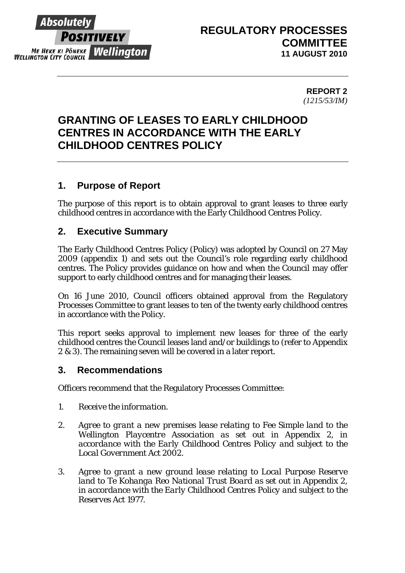

# **REGULATORY PROCESSES COMMITTEE 11 AUGUST 2010**

**REPORT 2**  *(1215/53/IM)* 

# **GRANTING OF LEASES TO EARLY CHILDHOOD CENTRES IN ACCORDANCE WITH THE EARLY CHILDHOOD CENTRES POLICY**

# **1. Purpose of Report**

The purpose of this report is to obtain approval to grant leases to three early childhood centres in accordance with the Early Childhood Centres Policy.

# **2. Executive Summary**

The Early Childhood Centres Policy (Policy) was adopted by Council on 27 May 2009 (appendix 1) and sets out the Council's role regarding early childhood centres. The Policy provides guidance on how and when the Council may offer support to early childhood centres and for managing their leases.

On 16 June 2010, Council officers obtained approval from the Regulatory Processes Committee to grant leases to ten of the twenty early childhood centres in accordance with the Policy.

This report seeks approval to implement new leases for three of the early childhood centres the Council leases land and/or buildings to (refer to Appendix 2 & 3). The remaining seven will be covered in a later report.

## **3. Recommendations**

Officers recommend that the Regulatory Processes Committee:

- *1. Receive the information.*
- *2. Agree to grant a new premises lease relating to Fee Simple land to the Wellington Playcentre Association as set out in Appendix 2, in accordance with the Early Childhood Centres Policy and subject to the Local Government Act 2002.*
- *3. Agree to grant a new ground lease relating to Local Purpose Reserve land to Te Kohanga Reo National Trust Board as set out in Appendix 2, in accordance with the Early Childhood Centres Policy and subject to the Reserves Act 1977.*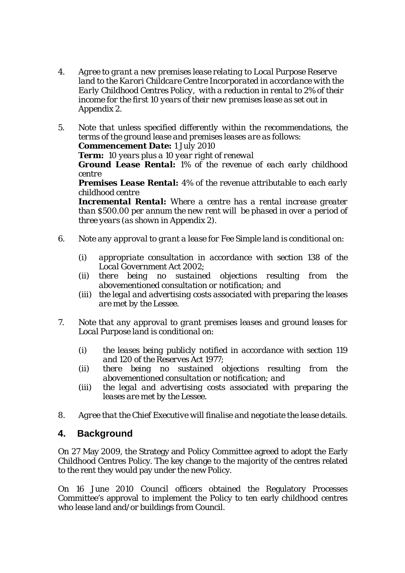- *4. Agree to grant a new premises lease relating to Local Purpose Reserve land to the Karori Childcare Centre Incorporated in accordance with the Early Childhood Centres Policy, with a reduction in rental to 2% of their income for the first 10 years of their new premises lease as set out in Appendix 2.*
- *5. Note that unless specified differently within the recommendations, the terms of the ground lease and premises leases are as follows: Commencement Date: 1 July 2010*

*Term: 10 years plus a 10 year right of renewal* 

*Ground Lease Rental: 1% of the revenue of each early childhood centre*

*Premises Lease Rental: 4% of the revenue attributable to each early childhood centre* 

*Incremental Rental: Where a centre has a rental increase greater than \$500.00 per annum the new rent will be phased in over a period of three years (as shown in Appendix 2).* 

- *6. Note any approval to grant a lease for Fee Simple land is conditional on:* 
	- *(i) appropriate consultation in accordance with section 138 of the Local Government Act 2002;*
	- *(ii) there being no sustained objections resulting from the abovementioned consultation or notification; and*
	- *(iii) the legal and advertising costs associated with preparing the leases are met by the Lessee.*
- *7. Note that any approval to grant premises leases and ground leases for Local Purpose land is conditional on:* 
	- *(i) the leases being publicly notified in accordance with section 119 and 120 of the Reserves Act 1977;*
	- *(ii) there being no sustained objections resulting from the abovementioned consultation or notification; and*
	- *(iii) the legal and advertising costs associated with preparing the leases are met by the Lessee.*
- *8. Agree that the Chief Executive will finalise and negotiate the lease details.*

## **4. Background**

On 27 May 2009, the Strategy and Policy Committee agreed to adopt the Early Childhood Centres Policy. The key change to the majority of the centres related to the rent they would pay under the new Policy.

On 16 June 2010 Council officers obtained the Regulatory Processes Committee's approval to implement the Policy to ten early childhood centres who lease land and/or buildings from Council.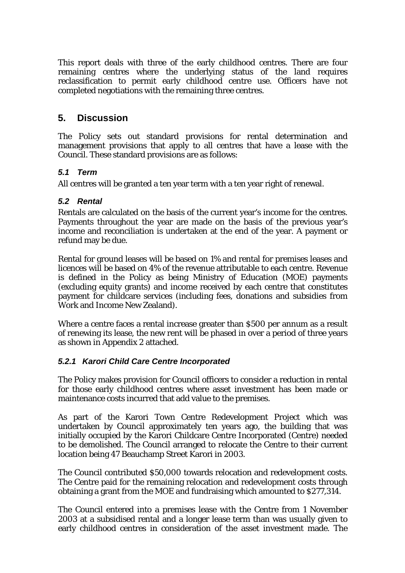This report deals with three of the early childhood centres. There are four remaining centres where the underlying status of the land requires reclassification to permit early childhood centre use. Officers have not completed negotiations with the remaining three centres.

## **5. Discussion**

The Policy sets out standard provisions for rental determination and management provisions that apply to all centres that have a lease with the Council. These standard provisions are as follows:

### *5.1 Term*

All centres will be granted a ten year term with a ten year right of renewal.

### *5.2 Rental*

Rentals are calculated on the basis of the current year's income for the centres. Payments throughout the year are made on the basis of the previous year's income and reconciliation is undertaken at the end of the year. A payment or refund may be due.

Rental for ground leases will be based on 1% and rental for premises leases and licences will be based on 4% of the revenue attributable to each centre. Revenue is defined in the Policy as being Ministry of Education (MOE) payments (excluding equity grants) and income received by each centre that constitutes payment for childcare services (including fees, donations and subsidies from Work and Income New Zealand).

Where a centre faces a rental increase greater than \$500 per annum as a result of renewing its lease, the new rent will be phased in over a period of three years as shown in Appendix 2 attached.

### *5.2.1 Karori Child Care Centre Incorporated*

The Policy makes provision for Council officers to consider a reduction in rental for those early childhood centres where asset investment has been made or maintenance costs incurred that add value to the premises.

As part of the Karori Town Centre Redevelopment Project which was undertaken by Council approximately ten years ago, the building that was initially occupied by the Karori Childcare Centre Incorporated (Centre) needed to be demolished. The Council arranged to relocate the Centre to their current location being 47 Beauchamp Street Karori in 2003.

The Council contributed \$50,000 towards relocation and redevelopment costs. The Centre paid for the remaining relocation and redevelopment costs through obtaining a grant from the MOE and fundraising which amounted to \$277,314.

The Council entered into a premises lease with the Centre from 1 November 2003 at a subsidised rental and a longer lease term than was usually given to early childhood centres in consideration of the asset investment made. The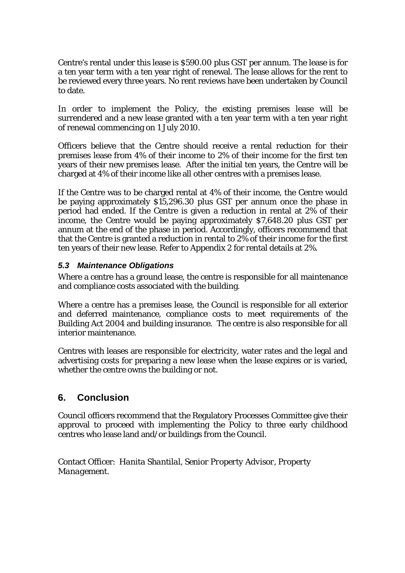Centre's rental under this lease is \$590.00 plus GST per annum. The lease is for a ten year term with a ten year right of renewal. The lease allows for the rent to be reviewed every three years. No rent reviews have been undertaken by Council to date.

In order to implement the Policy, the existing premises lease will be surrendered and a new lease granted with a ten year term with a ten year right of renewal commencing on 1 July 2010.

Officers believe that the Centre should receive a rental reduction for their premises lease from 4% of their income to 2% of their income for the first ten years of their new premises lease. After the initial ten years, the Centre will be charged at 4% of their income like all other centres with a premises lease.

If the Centre was to be charged rental at 4% of their income, the Centre would be paying approximately \$15,296.30 plus GST per annum once the phase in period had ended. If the Centre is given a reduction in rental at 2% of their income, the Centre would be paying approximately \$7,648.20 plus GST per annum at the end of the phase in period. Accordingly, officers recommend that that the Centre is granted a reduction in rental to 2% of their income for the first ten years of their new lease. Refer to Appendix 2 for rental details at 2%.

### *5.3 Maintenance Obligations*

Where a centre has a ground lease, the centre is responsible for all maintenance and compliance costs associated with the building.

Where a centre has a premises lease, the Council is responsible for all exterior and deferred maintenance, compliance costs to meet requirements of the Building Act 2004 and building insurance. The centre is also responsible for all interior maintenance.

Centres with leases are responsible for electricity, water rates and the legal and advertising costs for preparing a new lease when the lease expires or is varied, whether the centre owns the building or not.

# **6. Conclusion**

Council officers recommend that the Regulatory Processes Committee give their approval to proceed with implementing the Policy to three early childhood centres who lease land and/or buildings from the Council.

Contact Officer: *Hanita Shantilal, Senior Property Advisor, Property Management.*